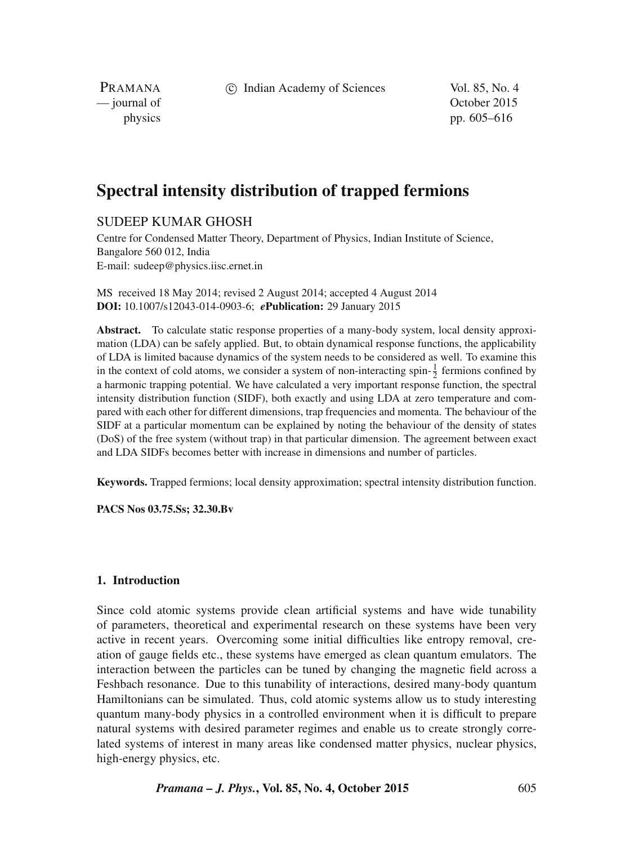c Indian Academy of Sciences Vol. 85, No. 4

PRAMANA<br>
— journal of

October 2015 physics pp. 605–616

# **Spectral intensity distribution of trapped fermions**

## SUDEEP KUMAR GHOSH

Centre for Condensed Matter Theory, Department of Physics, Indian Institute of Science, Bangalore 560 012, India E-mail: sudeep@physics.iisc.ernet.in

MS received 18 May 2014; revised 2 August 2014; accepted 4 August 2014 **DOI:** 10.1007/s12043-014-0903-6; *e***Publication:** 29 January 2015

**Abstract.** To calculate static response properties of a many-body system, local density approximation (LDA) can be safely applied. But, to obtain dynamical response functions, the applicability of LDA is limited bacause dynamics of the system needs to be considered as well. To examine this in the context of cold atoms, we consider a system of non-interacting spin- $\frac{1}{2}$  fermions confined by a harmonic trapping potential. We have calculated a very important response function, the spectral intensity distribution function (SIDF), both exactly and using LDA at zero temperature and compared with each other for different dimensions, trap frequencies and momenta. The behaviour of the SIDF at a particular momentum can be explained by noting the behaviour of the density of states (DoS) of the free system (without trap) in that particular dimension. The agreement between exact and LDA SIDFs becomes better with increase in dimensions and number of particles.

**Keywords.** Trapped fermions; local density approximation; spectral intensity distribution function.

**PACS Nos 03.75.Ss; 32.30.Bv**

## **1. Introduction**

Since cold atomic systems provide clean artificial systems and have wide tunability of parameters, theoretical and experimental research on these systems have been very active in recent years. Overcoming some initial difficulties like entropy removal, creation of gauge fields etc., these systems have emerged as clean quantum emulators. The interaction between the particles can be tuned by changing the magnetic field across a Feshbach resonance. Due to this tunability of interactions, desired many-body quantum Hamiltonians can be simulated. Thus, cold atomic systems allow us to study interesting quantum many-body physics in a controlled environment when it is difficult to prepare natural systems with desired parameter regimes and enable us to create strongly correlated systems of interest in many areas like condensed matter physics, nuclear physics, high-energy physics, etc.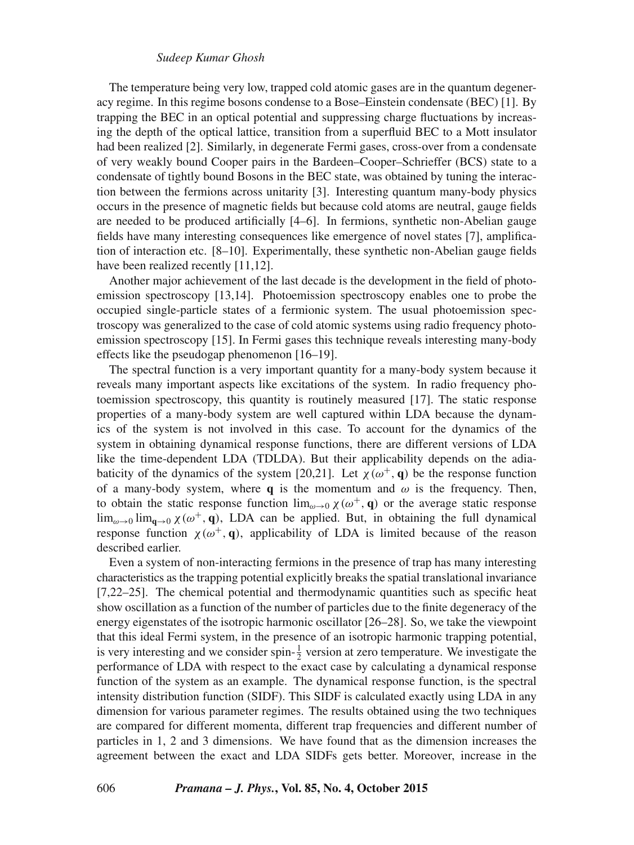## *Sudeep Kumar Ghosh*

The temperature being very low, trapped cold atomic gases are in the quantum degeneracy regime. In this regime bosons condense to a Bose–Einstein condensate (BEC) [1]. By trapping the BEC in an optical potential and suppressing charge fluctuations by increasing the depth of the optical lattice, transition from a superfluid BEC to a Mott insulator had been realized [2]. Similarly, in degenerate Fermi gases, cross-over from a condensate of very weakly bound Cooper pairs in the Bardeen–Cooper–Schrieffer (BCS) state to a condensate of tightly bound Bosons in the BEC state, was obtained by tuning the interaction between the fermions across unitarity [3]. Interesting quantum many-body physics occurs in the presence of magnetic fields but because cold atoms are neutral, gauge fields are needed to be produced artificially [4–6]. In fermions, synthetic non-Abelian gauge fields have many interesting consequences like emergence of novel states [7], amplification of interaction etc. [8–10]. Experimentally, these synthetic non-Abelian gauge fields have been realized recently [11,12].

Another major achievement of the last decade is the development in the field of photoemission spectroscopy [13,14]. Photoemission spectroscopy enables one to probe the occupied single-particle states of a fermionic system. The usual photoemission spectroscopy was generalized to the case of cold atomic systems using radio frequency photoemission spectroscopy [15]. In Fermi gases this technique reveals interesting many-body effects like the pseudogap phenomenon [16–19].

The spectral function is a very important quantity for a many-body system because it reveals many important aspects like excitations of the system. In radio frequency photoemission spectroscopy, this quantity is routinely measured [17]. The static response properties of a many-body system are well captured within LDA because the dynamics of the system is not involved in this case. To account for the dynamics of the system in obtaining dynamical response functions, there are different versions of LDA like the time-dependent LDA (TDLDA). But their applicability depends on the adiabaticity of the dynamics of the system [20,21]. Let  $\chi(\omega^+,\mathbf{q})$  be the response function of a many-body system, where **q** is the momentum and  $\omega$  is the frequency. Then, to obtain the static response function  $\lim_{\omega\to 0} \chi(\omega^+, \mathbf{q})$  or the average static response  $\lim_{\omega\to 0} \lim_{\mathbf{q}\to 0} \chi(\omega^+, \mathbf{q})$ , LDA can be applied. But, in obtaining the full dynamical response function  $\chi(\omega^+, \mathbf{q})$ , applicability of LDA is limited because of the reason described earlier.

Even a system of non-interacting fermions in the presence of trap has many interesting characteristics as the trapping potential explicitly breaks the spatial translational invariance [7,22–25]. The chemical potential and thermodynamic quantities such as specific heat show oscillation as a function of the number of particles due to the finite degeneracy of the energy eigenstates of the isotropic harmonic oscillator [26–28]. So, we take the viewpoint that this ideal Fermi system, in the presence of an isotropic harmonic trapping potential, is very interesting and we consider spin- $\frac{1}{2}$  version at zero temperature. We investigate the performance of LDA with respect to the exact case by calculating a dynamical response function of the system as an example. The dynamical response function, is the spectral intensity distribution function (SIDF). This SIDF is calculated exactly using LDA in any dimension for various parameter regimes. The results obtained using the two techniques are compared for different momenta, different trap frequencies and different number of particles in 1, 2 and 3 dimensions. We have found that as the dimension increases the agreement between the exact and LDA SIDFs gets better. Moreover, increase in the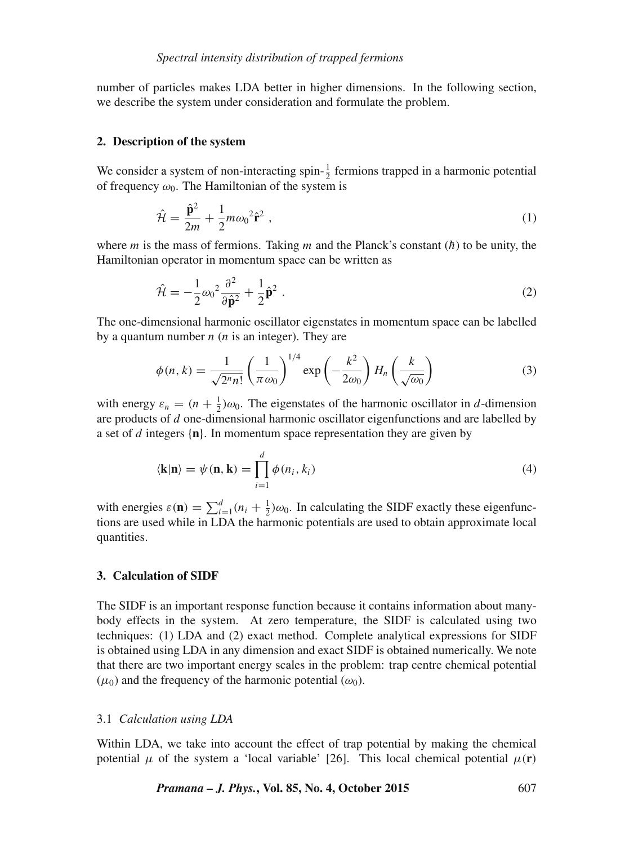number of particles makes LDA better in higher dimensions. In the following section, we describe the system under consideration and formulate the problem.

#### **2. Description of the system**

We consider a system of non-interacting spin- $\frac{1}{2}$  fermions trapped in a harmonic potential of frequency  $\omega_0$ . The Hamiltonian of the system is

$$
\hat{\mathcal{H}} = \frac{\hat{\mathbf{p}}^2}{2m} + \frac{1}{2}m\omega_0^2 \hat{\mathbf{r}}^2 \,,\tag{1}
$$

where m is the mass of fermions. Taking m and the Planck's constant  $(h)$  to be unity, the Hamiltonian operator in momentum space can be written as

$$
\hat{\mathcal{H}} = -\frac{1}{2}\omega_0^2 \frac{\partial^2}{\partial \hat{\mathbf{p}}^2} + \frac{1}{2}\hat{\mathbf{p}}^2.
$$
\n(2)

The one-dimensional harmonic oscillator eigenstates in momentum space can be labelled by a quantum number  $n(n)$  is an integer). They are

$$
\phi(n,k) = \frac{1}{\sqrt{2^n n!}} \left(\frac{1}{\pi \omega_0}\right)^{1/4} \exp\left(-\frac{k^2}{2\omega_0}\right) H_n\left(\frac{k}{\sqrt{\omega_0}}\right) \tag{3}
$$

with energy  $\varepsilon_n = (n + \frac{1}{2})\omega_0$ . The eigenstates of the harmonic oscillator in d-dimension are products of d one-dimensional harmonic oscillator eigenfunctions and are labelled by a set of d integers {**n**}. In momentum space representation they are given by

$$
\langle \mathbf{k} | \mathbf{n} \rangle = \psi(\mathbf{n}, \mathbf{k}) = \prod_{i=1}^{d} \phi(n_i, k_i)
$$
 (4)

with energies  $\varepsilon(\mathbf{n}) = \sum_{i=1}^{d} (n_i + \frac{1}{2}) \omega_0$ . In calculating the SIDF exactly these eigenfunctions are used while in LDA the harmonic potentials are used to obtain approximate local quantities.

#### **3. Calculation of SIDF**

The SIDF is an important response function because it contains information about manybody effects in the system. At zero temperature, the SIDF is calculated using two techniques: (1) LDA and (2) exact method. Complete analytical expressions for SIDF is obtained using LDA in any dimension and exact SIDF is obtained numerically. We note that there are two important energy scales in the problem: trap centre chemical potential  $(\mu_0)$  and the frequency of the harmonic potential  $(\omega_0)$ .

#### 3.1 *Calculation using LDA*

Within LDA, we take into account the effect of trap potential by making the chemical potential  $\mu$  of the system a 'local variable' [26]. This local chemical potential  $\mu(\mathbf{r})$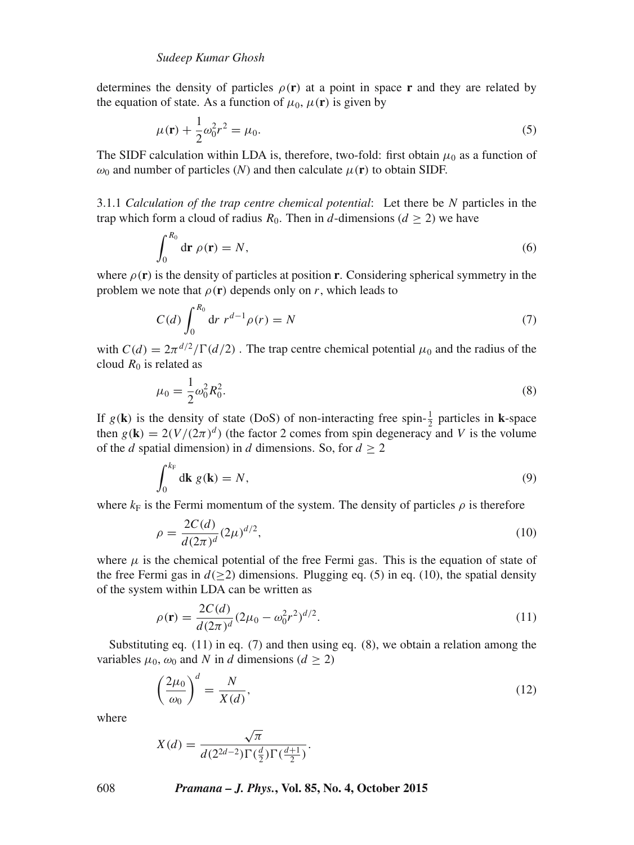determines the density of particles  $\rho(\mathbf{r})$  at a point in space **r** and they are related by the equation of state. As a function of  $\mu_0$ ,  $\mu(\mathbf{r})$  is given by

$$
\mu(\mathbf{r}) + \frac{1}{2}\omega_0^2 r^2 = \mu_0.
$$
\n(5)

The SIDF calculation within LDA is, therefore, two-fold: first obtain  $\mu_0$  as a function of  $\omega_0$  and number of particles (*N*) and then calculate  $\mu(\mathbf{r})$  to obtain SIDF.

3.1.1 *Calculation of the trap centre chemical potential*: Let there be N particles in the trap which form a cloud of radius  $R_0$ . Then in d-dimensions ( $d \ge 2$ ) we have

$$
\int_0^{R_0} \mathrm{d}\mathbf{r} \,\rho(\mathbf{r}) = N,\tag{6}
$$

where  $\rho(\mathbf{r})$  is the density of particles at position **r**. Considering spherical symmetry in the problem we note that  $\rho(\mathbf{r})$  depends only on r, which leads to

$$
C(d) \int_0^{R_0} dr \, r^{d-1} \rho(r) = N \tag{7}
$$

with  $C(d) = 2\pi^{d/2}/\Gamma(d/2)$ . The trap centre chemical potential  $\mu_0$  and the radius of the cloud  $R_0$  is related as

$$
\mu_0 = \frac{1}{2}\omega_0^2 R_0^2. \tag{8}
$$

If  $g(\mathbf{k})$  is the density of state (DoS) of non-interacting free spin- $\frac{1}{2}$  particles in **k**-space then  $g(\mathbf{k}) = 2(V/(2\pi)^d)$  (the factor 2 comes from spin degeneracy and V is the volume of the d spatial dimension) in d dimensions. So, for  $d \ge 2$ 

$$
\int_0^{k_F} \mathrm{d}\mathbf{k} \ g(\mathbf{k}) = N,\tag{9}
$$

where  $k_F$  is the Fermi momentum of the system. The density of particles  $\rho$  is therefore

$$
\rho = \frac{2C(d)}{d(2\pi)^d} (2\mu)^{d/2},\tag{10}
$$

where  $\mu$  is the chemical potential of the free Fermi gas. This is the equation of state of the free Fermi gas in  $d(≥2)$  dimensions. Plugging eq. (5) in eq. (10), the spatial density of the system within LDA can be written as

$$
\rho(\mathbf{r}) = \frac{2C(d)}{d(2\pi)^d} (2\mu_0 - \omega_0^2 r^2)^{d/2}.
$$
\n(11)

Substituting eq.  $(11)$  in eq.  $(7)$  and then using eq.  $(8)$ , we obtain a relation among the variables  $\mu_0$ ,  $\omega_0$  and N in d dimensions ( $d \ge 2$ )

$$
\left(\frac{2\mu_0}{\omega_0}\right)^d = \frac{N}{X(d)},\tag{12}
$$

where

$$
X(d) = \frac{\sqrt{\pi}}{d(2^{2d-2})\Gamma(\frac{d}{2})\Gamma(\frac{d+1}{2})}.
$$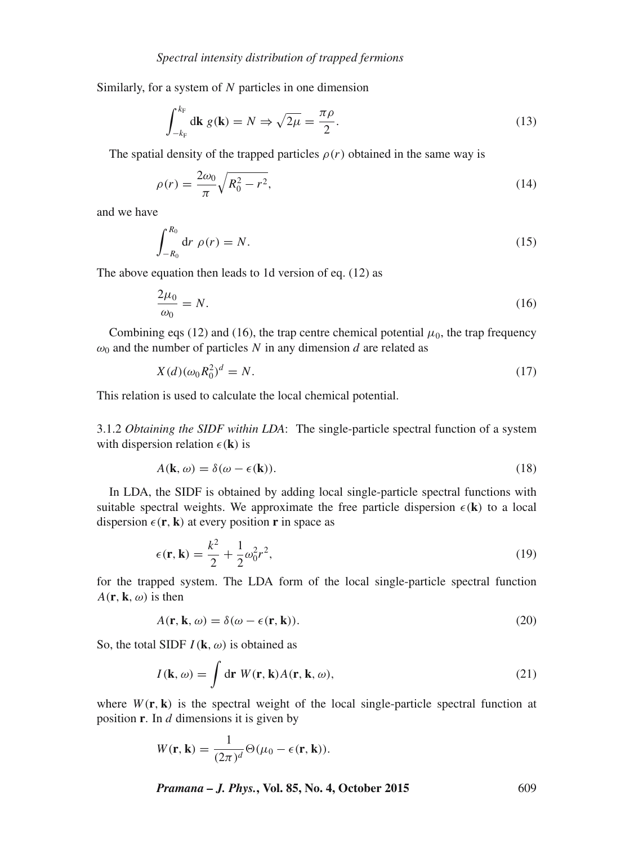Similarly, for a system of N particles in one dimension

$$
\int_{-k_{\rm F}}^{k_{\rm F}} d\mathbf{k} \ g(\mathbf{k}) = N \Rightarrow \sqrt{2\mu} = \frac{\pi \rho}{2}.
$$
 (13)

The spatial density of the trapped particles  $\rho(r)$  obtained in the same way is

$$
\rho(r) = \frac{2\omega_0}{\pi} \sqrt{R_0^2 - r^2},\tag{14}
$$

and we have

$$
\int_{-R_0}^{R_0} \mathrm{d}r \; \rho(r) = N. \tag{15}
$$

The above equation then leads to 1d version of eq. (12) as

$$
\frac{2\mu_0}{\omega_0} = N.\tag{16}
$$

Combining eqs (12) and (16), the trap centre chemical potential  $\mu_0$ , the trap frequency  $\omega_0$  and the number of particles N in any dimension d are related as

$$
X(d)(\omega_0 R_0^2)^d = N. \tag{17}
$$

This relation is used to calculate the local chemical potential.

2

3.1.2 *Obtaining the SIDF within LDA*: The single-particle spectral function of a system with dispersion relation  $\epsilon(\mathbf{k})$  is

$$
A(\mathbf{k}, \omega) = \delta(\omega - \epsilon(\mathbf{k})).
$$
\n(18)

In LDA, the SIDF is obtained by adding local single-particle spectral functions with suitable spectral weights. We approximate the free particle dispersion  $\epsilon(\mathbf{k})$  to a local dispersion  $\epsilon(\mathbf{r}, \mathbf{k})$  at every position **r** in space as

$$
\epsilon(\mathbf{r}, \mathbf{k}) = \frac{k^2}{2} + \frac{1}{2}\omega_0^2 r^2,\tag{19}
$$

for the trapped system. The LDA form of the local single-particle spectral function  $A(\mathbf{r}, \mathbf{k}, \omega)$  is then

$$
A(\mathbf{r}, \mathbf{k}, \omega) = \delta(\omega - \epsilon(\mathbf{r}, \mathbf{k})).
$$
\n(20)

So, the total SIDF  $I(\mathbf{k}, \omega)$  is obtained as

$$
I(\mathbf{k}, \omega) = \int \mathrm{d}\mathbf{r} \; W(\mathbf{r}, \mathbf{k}) A(\mathbf{r}, \mathbf{k}, \omega), \tag{21}
$$

where  $W(\mathbf{r}, \mathbf{k})$  is the spectral weight of the local single-particle spectral function at position **r**. In d dimensions it is given by

$$
W(\mathbf{r}, \mathbf{k}) = \frac{1}{(2\pi)^d} \Theta(\mu_0 - \epsilon(\mathbf{r}, \mathbf{k})).
$$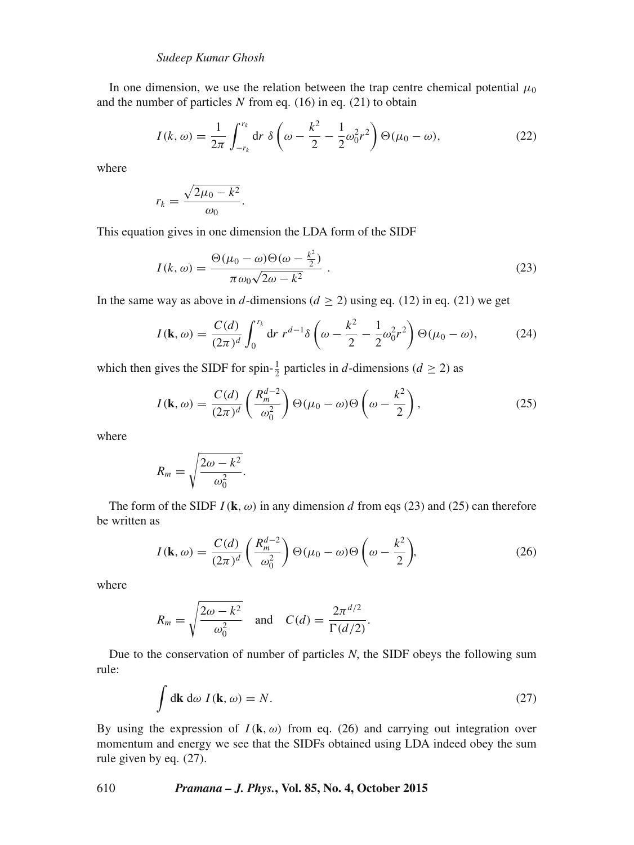### *Sudeep Kumar Ghosh*

In one dimension, we use the relation between the trap centre chemical potential  $\mu_0$ and the number of particles  $N$  from eq. (16) in eq. (21) to obtain

$$
I(k,\omega) = \frac{1}{2\pi} \int_{-r_k}^{r_k} dr \ \delta\left(\omega - \frac{k^2}{2} - \frac{1}{2}\omega_0^2 r^2\right) \Theta(\mu_0 - \omega),\tag{22}
$$

where

$$
r_k = \frac{\sqrt{2\mu_0 - k^2}}{\omega_0}.
$$

This equation gives in one dimension the LDA form of the SIDF

$$
I(k,\omega) = \frac{\Theta(\mu_0 - \omega)\Theta(\omega - \frac{k^2}{2})}{\pi\omega_0\sqrt{2\omega - k^2}}.
$$
\n(23)

In the same way as above in d-dimensions ( $d \ge 2$ ) using eq. (12) in eq. (21) we get

$$
I(\mathbf{k}, \omega) = \frac{C(d)}{(2\pi)^d} \int_0^{r_k} dr \ r^{d-1} \delta\left(\omega - \frac{k^2}{2} - \frac{1}{2}\omega_0^2 r^2\right) \Theta(\mu_0 - \omega), \tag{24}
$$

which then gives the SIDF for spin- $\frac{1}{2}$  particles in d-dimensions ( $d \ge 2$ ) as

$$
I(\mathbf{k},\omega) = \frac{C(d)}{(2\pi)^d} \left(\frac{R_m^{d-2}}{\omega_0^2}\right) \Theta(\mu_0 - \omega) \Theta\left(\omega - \frac{k^2}{2}\right),\tag{25}
$$

where

$$
R_m = \sqrt{\frac{2\omega - k^2}{\omega_0^2}}.
$$

The form of the SIDF  $I(\mathbf{k}, \omega)$  in any dimension d from eqs (23) and (25) can therefore be written as

$$
I(\mathbf{k},\omega) = \frac{C(d)}{(2\pi)^d} \left(\frac{R_m^{d-2}}{\omega_0^2}\right) \Theta(\mu_0 - \omega) \Theta\left(\omega - \frac{k^2}{2}\right),\tag{26}
$$

where

$$
R_m = \sqrt{\frac{2\omega - k^2}{\omega_0^2}} \quad \text{and} \quad C(d) = \frac{2\pi^{d/2}}{\Gamma(d/2)}.
$$

Due to the conservation of number of particles *N*, the SIDF obeys the following sum rule:

$$
\int \mathrm{d}\mathbf{k} \, \mathrm{d}\omega \, I(\mathbf{k}, \omega) = N. \tag{27}
$$

By using the expression of  $I(\mathbf{k}, \omega)$  from eq. (26) and carrying out integration over momentum and energy we see that the SIDFs obtained using LDA indeed obey the sum rule given by eq. (27).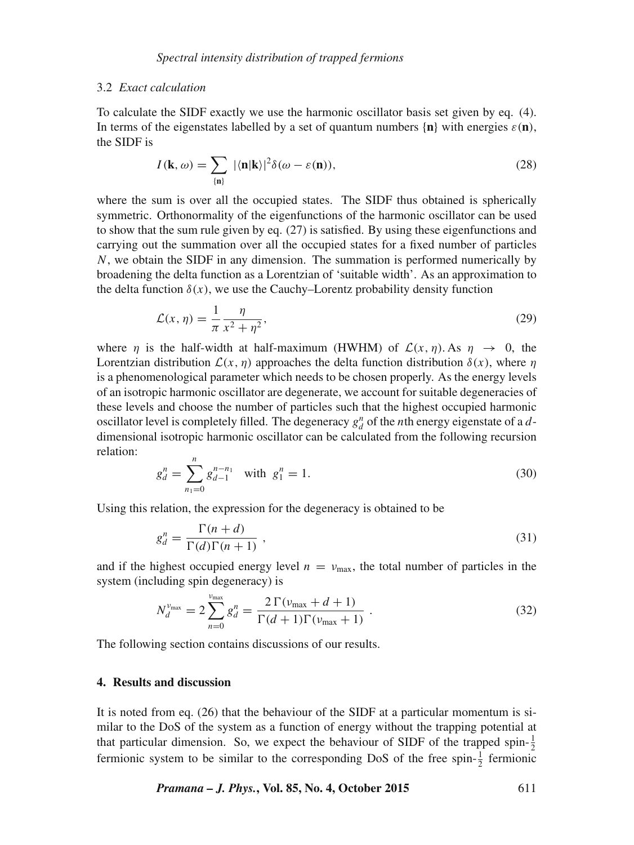#### 3.2 *Exact calculation*

To calculate the SIDF exactly we use the harmonic oscillator basis set given by eq. (4). In terms of the eigenstates labelled by a set of quantum numbers  $\{n\}$  with energies  $\varepsilon(n)$ , the SIDF is

$$
I(\mathbf{k},\omega) = \sum_{\{\mathbf{n}\}} |\langle \mathbf{n}|\mathbf{k}\rangle|^2 \delta(\omega - \varepsilon(\mathbf{n})),\tag{28}
$$

where the sum is over all the occupied states. The SIDF thus obtained is spherically symmetric. Orthonormality of the eigenfunctions of the harmonic oscillator can be used to show that the sum rule given by eq. (27) is satisfied. By using these eigenfunctions and carrying out the summation over all the occupied states for a fixed number of particles  $N$ , we obtain the SIDF in any dimension. The summation is performed numerically by broadening the delta function as a Lorentzian of 'suitable width'. As an approximation to the delta function  $\delta(x)$ , we use the Cauchy–Lorentz probability density function

$$
\mathcal{L}(x,\eta) = \frac{1}{\pi} \frac{\eta}{x^2 + \eta^2},\tag{29}
$$

where  $\eta$  is the half-width at half-maximum (HWHM) of  $\mathcal{L}(x, \eta)$ . As  $\eta \to 0$ , the Lorentzian distribution  $\mathcal{L}(x, \eta)$  approaches the delta function distribution  $\delta(x)$ , where  $\eta$ is a phenomenological parameter which needs to be chosen properly. As the energy levels of an isotropic harmonic oscillator are degenerate, we account for suitable degeneracies of these levels and choose the number of particles such that the highest occupied harmonic oscillator level is completely filled. The degeneracy  $g_d^n$  of the *n*th energy eigenstate of a *d*dimensional isotropic harmonic oscillator can be calculated from the following recursion relation:

$$
g_d^n = \sum_{n_1=0}^n g_{d-1}^{n-n_1} \quad \text{with } g_1^n = 1. \tag{30}
$$

Using this relation, the expression for the degeneracy is obtained to be

$$
g_d^n = \frac{\Gamma(n+d)}{\Gamma(d)\Gamma(n+1)}\,,\tag{31}
$$

and if the highest occupied energy level  $n = v_{\text{max}}$ , the total number of particles in the system (including spin degeneracy) is

$$
N_d^{\nu_{\text{max}}} = 2 \sum_{n=0}^{\nu_{\text{max}}} g_d^n = \frac{2 \Gamma(\nu_{\text{max}} + d + 1)}{\Gamma(d + 1)\Gamma(\nu_{\text{max}} + 1)} \,. \tag{32}
$$

The following section contains discussions of our results.

## **4. Results and discussion**

It is noted from eq. (26) that the behaviour of the SIDF at a particular momentum is similar to the DoS of the system as a function of energy without the trapping potential at that particular dimension. So, we expect the behaviour of SIDF of the trapped spin- $\frac{1}{2}$ fermionic system to be similar to the corresponding DoS of the free spin- $\frac{1}{2}$  fermionic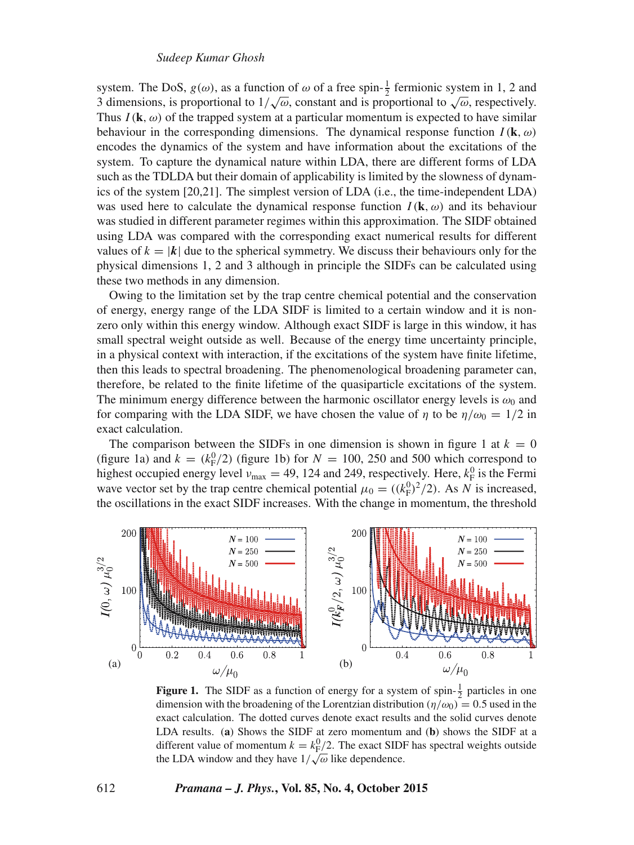#### *Sudeep Kumar Ghosh*

system. The DoS,  $g(\omega)$ , as a function of  $\omega$  of a free spin- $\frac{1}{2}$  fermionic system in 1, 2 and 3 dimensions, is proportional to  $1/\sqrt{\omega}$ , constant and is proportional to  $\sqrt{\omega}$ , respectively. Thus  $I(\mathbf{k}, \omega)$  of the trapped system at a particular momentum is expected to have similar behaviour in the corresponding dimensions. The dynamical response function  $I(\mathbf{k}, \omega)$ encodes the dynamics of the system and have information about the excitations of the system. To capture the dynamical nature within LDA, there are different forms of LDA such as the TDLDA but their domain of applicability is limited by the slowness of dynamics of the system [20,21]. The simplest version of LDA (i.e., the time-independent LDA) was used here to calculate the dynamical response function  $I(\mathbf{k}, \omega)$  and its behaviour was studied in different parameter regimes within this approximation. The SIDF obtained using LDA was compared with the corresponding exact numerical results for different values of  $k = |k|$  due to the spherical symmetry. We discuss their behaviours only for the physical dimensions 1, 2 and 3 although in principle the SIDFs can be calculated using these two methods in any dimension.

Owing to the limitation set by the trap centre chemical potential and the conservation of energy, energy range of the LDA SIDF is limited to a certain window and it is nonzero only within this energy window. Although exact SIDF is large in this window, it has small spectral weight outside as well. Because of the energy time uncertainty principle, in a physical context with interaction, if the excitations of the system have finite lifetime, then this leads to spectral broadening. The phenomenological broadening parameter can, therefore, be related to the finite lifetime of the quasiparticle excitations of the system. The minimum energy difference between the harmonic oscillator energy levels is  $\omega_0$  and for comparing with the LDA SIDF, we have chosen the value of  $\eta$  to be  $\eta/\omega_0 = 1/2$  in exact calculation.

The comparison between the SIDFs in one dimension is shown in figure 1 at  $k = 0$ (figure 1a) and  $k = (k_F^0/2)$  (figure 1b) for  $N = 100, 250$  and 500 which correspond to highest occupied energy level  $v_{\text{max}} = 49$ , 124 and 249, respectively. Here,  $k_{\text{F}}^0$  is the Fermi wave vector set by the trap centre chemical potential  $\mu_0 = ((k_F^0)^2/2)$ . As N is increased, the oscillations in the exact SIDF increases. With the change in momentum, the threshold



**Figure 1.** The SIDF as a function of energy for a system of spin- $\frac{1}{2}$  particles in one dimension with the broadening of the Lorentzian distribution ( $\eta/\omega_0$ ) = 0.5 used in the exact calculation. The dotted curves denote exact results and the solid curves denote LDA results. (**a**) Shows the SIDF at zero momentum and (**b**) shows the SIDF at a different value of momentum  $k = k_{\text{F}}^0/2$ . The exact SIDF has spectral weights outside the LDA window and they have  $1/\sqrt{\omega}$  like dependence.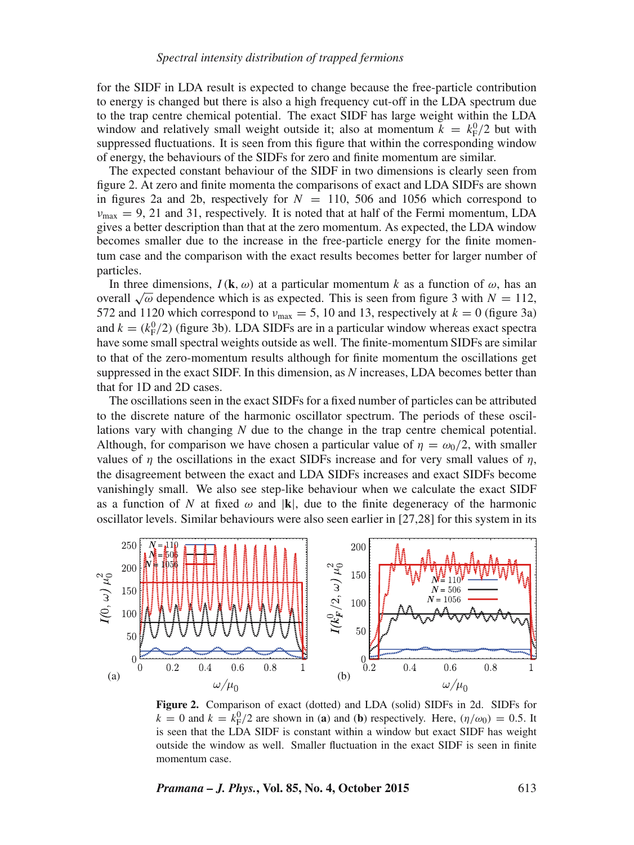for the SIDF in LDA result is expected to change because the free-particle contribution to energy is changed but there is also a high frequency cut-off in the LDA spectrum due to the trap centre chemical potential. The exact SIDF has large weight within the LDA window and relatively small weight outside it; also at momentum  $k = k_{\rm F}^{0}/2$  but with suppressed fluctuations. It is seen from this figure that within the corresponding window of energy, the behaviours of the SIDFs for zero and finite momentum are similar.

The expected constant behaviour of the SIDF in two dimensions is clearly seen from figure 2. At zero and finite momenta the comparisons of exact and LDA SIDFs are shown in figures 2a and 2b, respectively for  $N = 110, 506$  and 1056 which correspond to  $v_{\text{max}} = 9$ , 21 and 31, respectively. It is noted that at half of the Fermi momentum, LDA gives a better description than that at the zero momentum. As expected, the LDA window becomes smaller due to the increase in the free-particle energy for the finite momentum case and the comparison with the exact results becomes better for larger number of particles.

In three dimensions,  $I(\mathbf{k}, \omega)$  at a particular momentum k as a function of  $\omega$ , has an overall  $\sqrt{\omega}$  dependence which is as expected. This is seen from figure 3 with  $N = 112$ , 572 and 1120 which correspond to  $v_{\text{max}} = 5$ , 10 and 13, respectively at  $k = 0$  (figure 3a) and  $k = (k_F^0/2)$  (figure 3b). LDA SIDFs are in a particular window whereas exact spectra have some small spectral weights outside as well. The finite-momentum SIDFs are similar to that of the zero-momentum results although for finite momentum the oscillations get suppressed in the exact SIDF. In this dimension, as *N* increases, LDA becomes better than that for 1D and 2D cases.

The oscillations seen in the exact SIDFs for a fixed number of particles can be attributed to the discrete nature of the harmonic oscillator spectrum. The periods of these oscillations vary with changing *N* due to the change in the trap centre chemical potential. Although, for comparison we have chosen a particular value of  $\eta = \omega_0/2$ , with smaller values of  $\eta$  the oscillations in the exact SIDFs increase and for very small values of  $\eta$ , the disagreement between the exact and LDA SIDFs increases and exact SIDFs become vanishingly small. We also see step-like behaviour when we calculate the exact SIDF as a function of N at fixed  $\omega$  and  $|\mathbf{k}|$ , due to the finite degeneracy of the harmonic oscillator levels. Similar behaviours were also seen earlier in [27,28] for this system in its



**Figure 2.** Comparison of exact (dotted) and LDA (solid) SIDFs in 2d. SIDFs for  $k = 0$  and  $k = k_{\rm F}^0/2$  are shown in (**a**) and (**b**) respectively. Here,  $(\eta/\omega_0) = 0.5$ . It is seen that the LDA SIDF is constant within a window but exact SIDF has weight outside the window as well. Smaller fluctuation in the exact SIDF is seen in finite momentum case.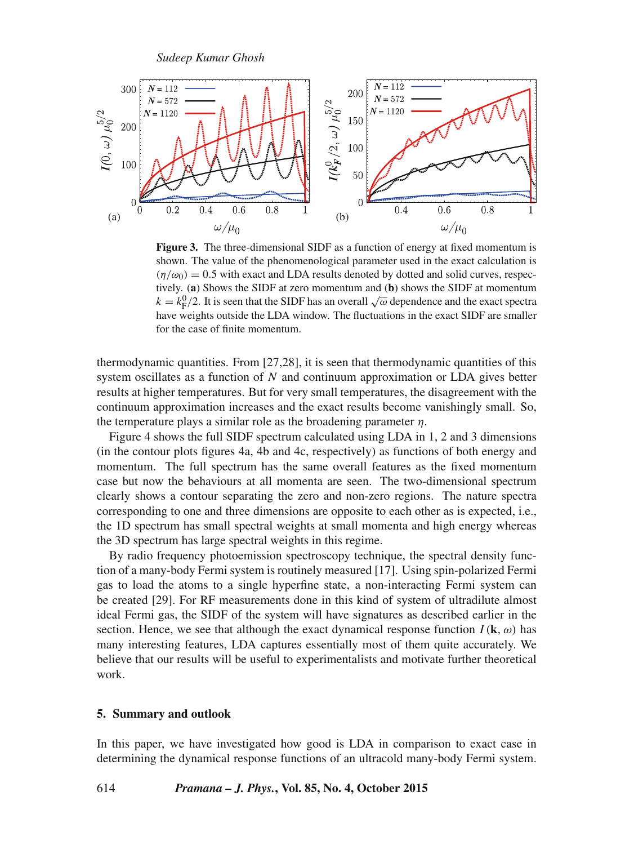

**Figure 3.** The three-dimensional SIDF as a function of energy at fixed momentum is shown. The value of the phenomenological parameter used in the exact calculation is  $(\eta/\omega_0) = 0.5$  with exact and LDA results denoted by dotted and solid curves, respectively. (**a**) Shows the SIDF at zero momentum and (**b**) shows the SIDF at momentum  $k = k_{\rm F}^0/2$ . It is seen that the SIDF has an overall  $\sqrt{\omega}$  dependence and the exact spectra have weights outside the LDA window. The fluctuations in the exact SIDF are smaller for the case of finite momentum.

thermodynamic quantities. From [27,28], it is seen that thermodynamic quantities of this system oscillates as a function of N and continuum approximation or LDA gives better results at higher temperatures. But for very small temperatures, the disagreement with the continuum approximation increases and the exact results become vanishingly small. So, the temperature plays a similar role as the broadening parameter  $\eta$ .

Figure 4 shows the full SIDF spectrum calculated using LDA in 1, 2 and 3 dimensions (in the contour plots figures 4a, 4b and 4c, respectively) as functions of both energy and momentum. The full spectrum has the same overall features as the fixed momentum case but now the behaviours at all momenta are seen. The two-dimensional spectrum clearly shows a contour separating the zero and non-zero regions. The nature spectra corresponding to one and three dimensions are opposite to each other as is expected, i.e., the 1D spectrum has small spectral weights at small momenta and high energy whereas the 3D spectrum has large spectral weights in this regime.

By radio frequency photoemission spectroscopy technique, the spectral density function of a many-body Fermi system is routinely measured [17]. Using spin-polarized Fermi gas to load the atoms to a single hyperfine state, a non-interacting Fermi system can be created [29]. For RF measurements done in this kind of system of ultradilute almost ideal Fermi gas, the SIDF of the system will have signatures as described earlier in the section. Hence, we see that although the exact dynamical response function  $I(\mathbf{k}, \omega)$  has many interesting features, LDA captures essentially most of them quite accurately. We believe that our results will be useful to experimentalists and motivate further theoretical work.

## **5. Summary and outlook**

In this paper, we have investigated how good is LDA in comparison to exact case in determining the dynamical response functions of an ultracold many-body Fermi system.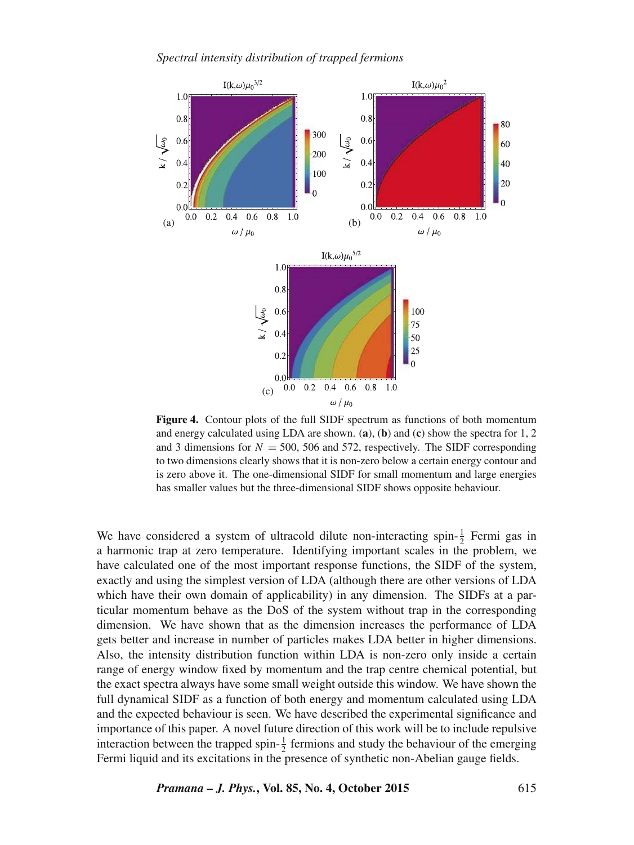*Spectral intensity distribution of trapped fermions*



**Figure 4.** Contour plots of the full SIDF spectrum as functions of both momentum and energy calculated using LDA are shown. (**a**), (**b**) and (**c**) show the spectra for 1, 2 and 3 dimensions for  $N = 500$ , 506 and 572, respectively. The SIDF corresponding to two dimensions clearly shows that it is non-zero below a certain energy contour and is zero above it. The one-dimensional SIDF for small momentum and large energies has smaller values but the three-dimensional SIDF shows opposite behaviour.

We have considered a system of ultracold dilute non-interacting spin- $\frac{1}{2}$  Fermi gas in a harmonic trap at zero temperature. Identifying important scales in the problem, we have calculated one of the most important response functions, the SIDF of the system, exactly and using the simplest version of LDA (although there are other versions of LDA which have their own domain of applicability) in any dimension. The SIDFs at a particular momentum behave as the DoS of the system without trap in the corresponding dimension. We have shown that as the dimension increases the performance of LDA gets better and increase in number of particles makes LDA better in higher dimensions. Also, the intensity distribution function within LDA is non-zero only inside a certain range of energy window fixed by momentum and the trap centre chemical potential, but the exact spectra always have some small weight outside this window. We have shown the full dynamical SIDF as a function of both energy and momentum calculated using LDA and the expected behaviour is seen. We have described the experimental significance and importance of this paper. A novel future direction of this work will be to include repulsive interaction between the trapped spin- $\frac{1}{2}$  fermions and study the behaviour of the emerging Fermi liquid and its excitations in the presence of synthetic non-Abelian gauge fields.